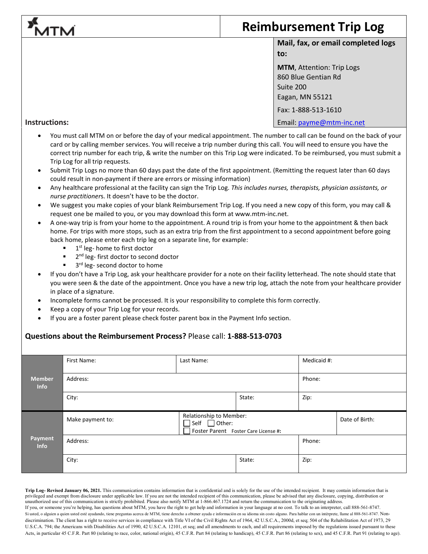## **Reimbursement Trip Log** ITN **Mail, fax, or email completed logs to: MTM**, Attention: Trip Logs 860 Blue Gentian Rd Suite 200 Eagan, MN 55121 Fax: 1-888-513-1610

## **Instructions:**

• You must call MTM on or before the day of your medical appointment. The number to call can be found on the back of your card or by calling member services. You will receive a trip number during this call. You will need to ensure you have the correct trip number for each trip, & write the number on this Trip Log were indicated. To be reimbursed, you must submit a Trip Log for all trip requests.

Email: [payme@mtm-inc.net](mailto:payme@mtm-inc.net)

- Submit Trip Logs no more than 60 days past the date of the first appointment. (Remitting the request later than 60 days could result in non-payment if there are errors or missing information)
- Any healthcare professional at the facility can sign the Trip Log. *This includes nurses, therapists, physician assistants, or nurse practitioner*s. It doesn't have to be the doctor.
- We suggest you make copies of your blank Reimbursement Trip Log. If you need a new copy of this form, you may call & request one be mailed to you, or you may download this form at www.mtm-inc.net.
- A one-way trip is from your home to the appointment. A round trip is from your home to the appointment & then back home. For trips with more stops, such as an extra trip from the first appointment to a second appointment before going back home, please enter each trip leg on a separate line, for example:
	- 1<sup>st</sup> leg- home to first doctor
	- $\blacksquare$  2<sup>nd</sup> leg- first doctor to second doctor
	- 3rd leg- second doctor to home
- If you don't have a Trip Log, ask your healthcare provider for a note on their facility letterhead. The note should state that you were seen & the date of the appointment. Once you have a new trip log, attach the note from your healthcare provider in place of a signature.
- Incomplete forms cannot be processed. It is your responsibility to complete this form correctly.
- Keep a copy of your Trip Log for your records.
- If you are a foster parent please check foster parent box in the Payment Info section.

## **Questions about the Reimbursement Process?** Please call: **1-888-513-0703**

|                              | First Name:                                                                                                      | Last Name: |        | Medicaid #: |                |  |
|------------------------------|------------------------------------------------------------------------------------------------------------------|------------|--------|-------------|----------------|--|
| <b>Member</b><br><b>Info</b> | Address:                                                                                                         |            |        |             | Phone:         |  |
|                              | City:                                                                                                            |            | State: | Zip:        |                |  |
|                              | Relationship to Member:<br>Make payment to:<br>$\Box$ Self $\Box$ Other:<br>Foster Parent Foster Care License #: |            |        |             | Date of Birth: |  |
| Payment<br><b>Info</b>       | Address:                                                                                                         |            |        |             | Phone:         |  |
|                              | City:                                                                                                            |            | State: | Zip:        |                |  |

**Trip Log- Revised January 06, 2021.** This communication contains information that is confidential and is solely for the use of the intended recipient. It may contain information that is privileged and exempt from disclosure under applicable law. If you are not the intended recipient of this communication, please be advised that any disclosure, copying, distribution or unauthorized use of this communication is strictly prohibited. Please also notify MTM at 1-866.467.1724 and return the communication to the originating address. If you, or someone you're helping, has questions about MTM, you have the right to get help and information in your language at no cost. To talk to an interpreter, call 888-561-8747. Si usted, o alguien a quien usted esté ayudando, tiene preguntas acerca de MTM, tiene derecho a obtener ayuda e información en su idioma sin costo alguno. Para hablar con un intérprete, llame al 888-561-8747. Nondiscrimination. The client has a right to receive services in compliance with Title VI of the Civil Rights Act of 1964, 42 U.S.C.A., 2000d, et seq; 504 of the Rehabilitation Act of 1973, 29 U.S.C.A. 794; the Americans with Disabilities Act of 1990, 42 U.S.C.A. 12101, et seq; and all amendments to each, and all requirements imposed by the regulations issued pursuant to these Acts, in particular 45 C.F.R. Part 80 (relating to race, color, national origin), 45 C.F.R. Part 84 (relating to handicap), 45 C.F.R. Part 86 (relating to sex), and 45 C.F.R. Part 91 (relating to age).